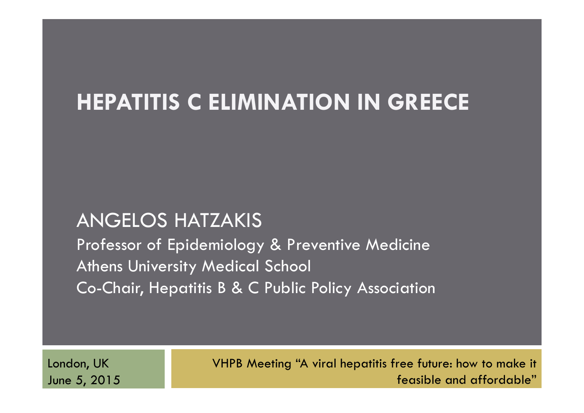# **HEPATITIS C ELIMINATION IN GREECE**

## ANGELOS HATZAKIS

Professor of Epidemiology & Preventive Medicine Athens University Medical School Co-Chair, Hepatitis B & C Public Policy Association

London, UK June 5, 2015 VHPB Meeting "A viral hepatitis free future: how to make it feasible and affordable"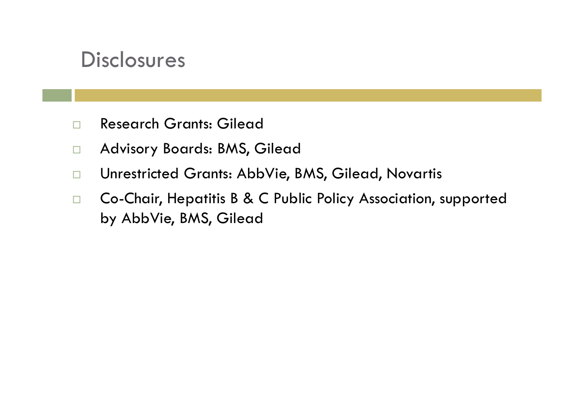## **Disclosures**

- $\Box$ Research Grants: Gilead
- $\Box$ Advisory Boards: BMS, Gilead
- $\Box$ Unrestricted Grants: AbbVie, BMS, Gilead, Novartis
- $\Box$  Co-Chair, Hepatitis B & C Public Policy Association, supported by AbbVie, BMS, Gilead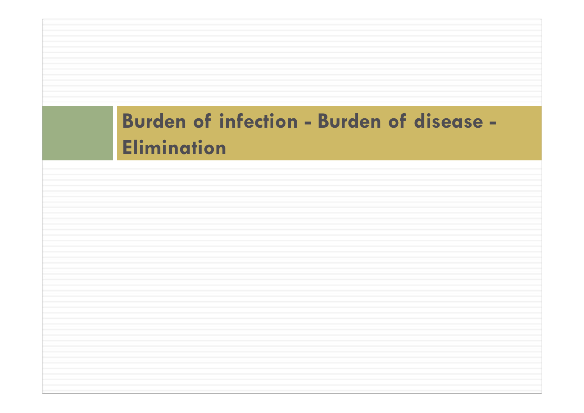# **Burden of infection - Burden of disease - Elimination**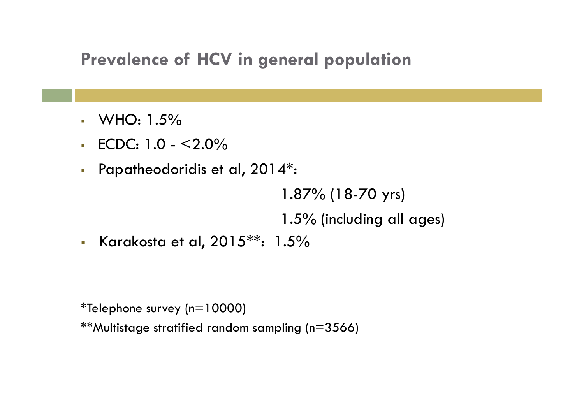## **Prevalence of HCV in general population**

- $\blacksquare$  WHO: 1.5%
- ECDC: 1.0 <2.0%
- Papatheodoridis et al,  $2014$ <sup>\*</sup>:

1.87% (18-70 yrs)

1.5% (including all ages)

 $\mathcal{L}_{\mathcal{A}}$ Karakosta et al, 2015\*\*: 1.5%

\*Telephone survey (n=10000)

\*\*Multistage stratified random sampling (n=3566)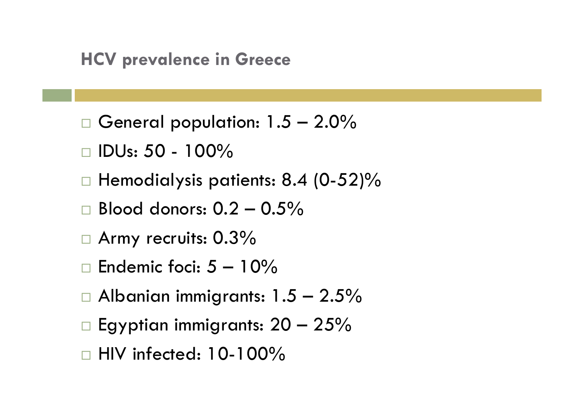- $\Box$  General population: 1.5 2.0%
- $\Box$  IDUs: 50 100%
- $\Box$  Hemodialysis patients: 8.4 (0-52)%
- $\square$  Blood donors:  $0.2-0.5\%$
- $\Box$  Army recruits:  $0.3\%$
- $\Box$  Endemic foci: 5  $-$  10%
- $\Box$  Albanian immigrants: 1.5  $-$  2.5%
- $\Box$  Egyptian immigrants: 20  $-$  25%
- $\Box$  HIV infected: 10-100%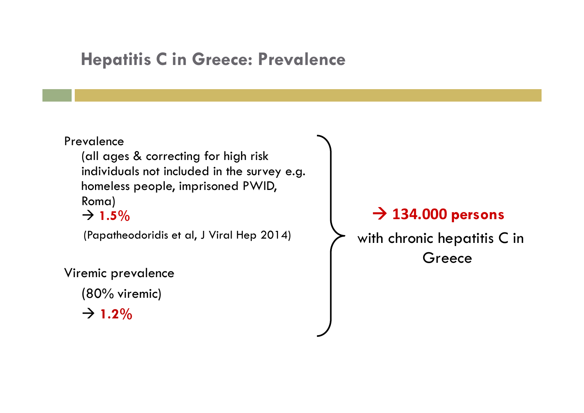## **Hepatitis C in Greece: Prevalence**

#### Prevalence

(all ages & correcting for high risk individuals not included in the survey e.g. homeless people, imprisoned PWID, Roma)

#### $\rightarrow$  1.5%

(Papatheodoridis et al, J Viral Hep 2014)

Viremic prevalence

(80% viremic)

 $\rightarrow$  1.2%

### **134.000 persons**

with chronic hepatitis C in **Greece**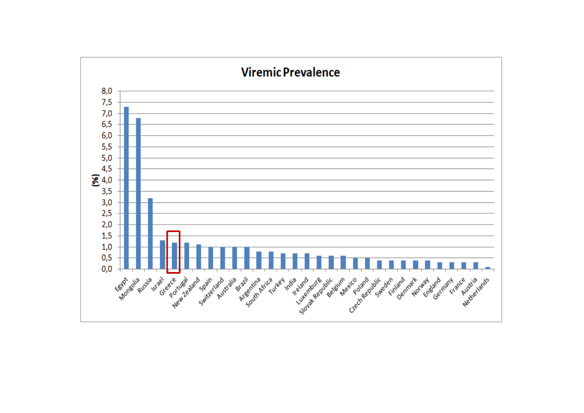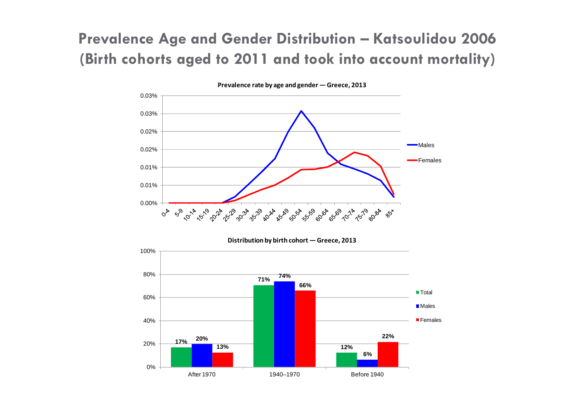### **Prevalence Age and Gender Distribution – Katsoulidou 2006 (Birth cohorts aged to 2011 and took into account mortality)**



**Distribution by birth cohort — Greece, 2013**

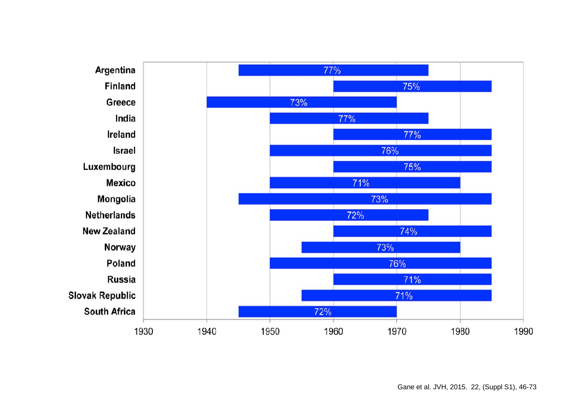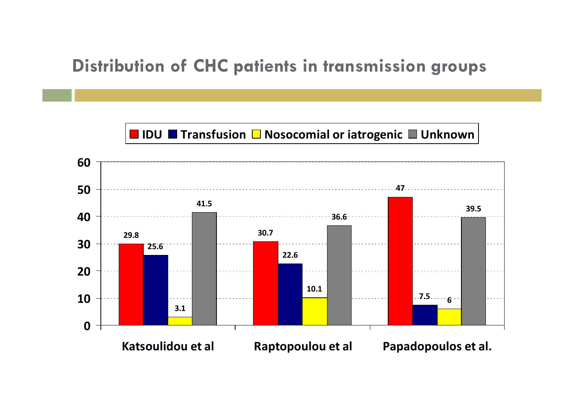## **Distribution of CHC patients in transmission groups**

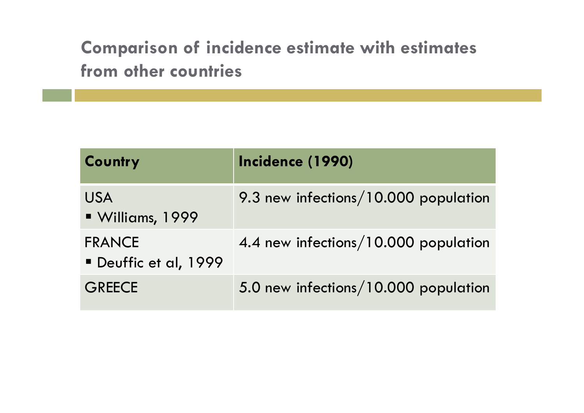## **Comparison of incidence estimate with estimates from other countries**

| Country                              | Incidence (1990)                     |
|--------------------------------------|--------------------------------------|
| <b>USA</b><br>Williams, 1999         | 9.3 new infections/10.000 population |
| <b>FRANCE</b><br>Deuffic et al, 1999 | 4.4 new infections/10.000 population |
| <b>GREECE</b>                        | 5.0 new infections/10.000 population |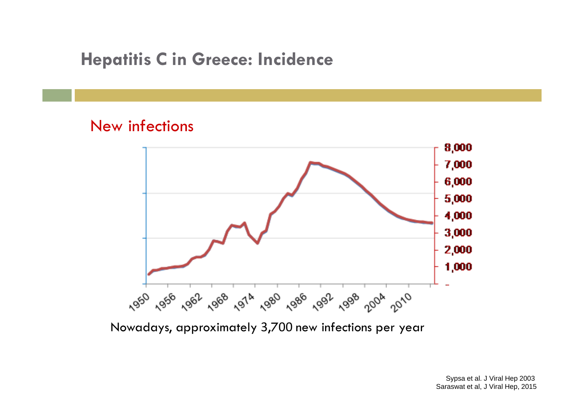## **Hepatitis C in Greece: Incidence**

#### New infections



Nowadays, approximately 3,700 new infections per year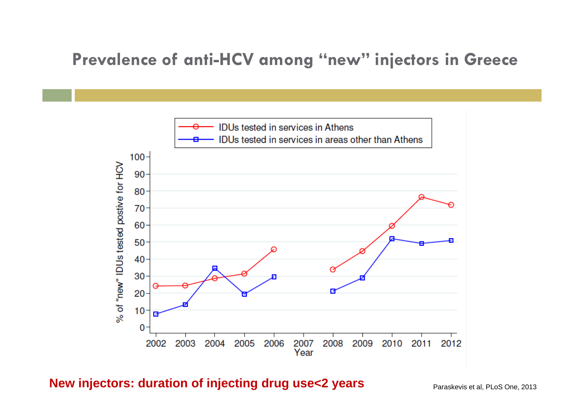## Prevalence of anti-HCV among "new" injectors in Greece



#### **New injectors: duration of injecting drug use<2 years** Paraskevis et al, PLoS One, 2013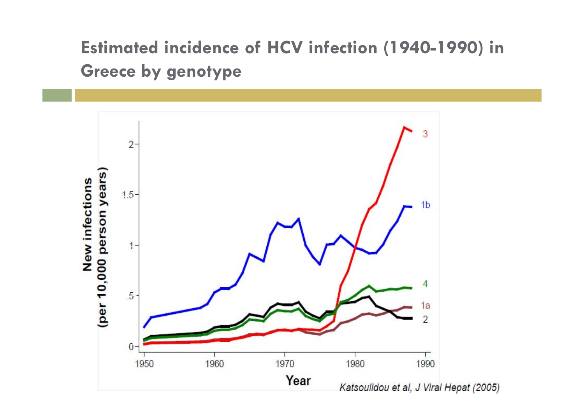## **Estimated incidence of HCV infection (1940-1990) in Greece by genotype**

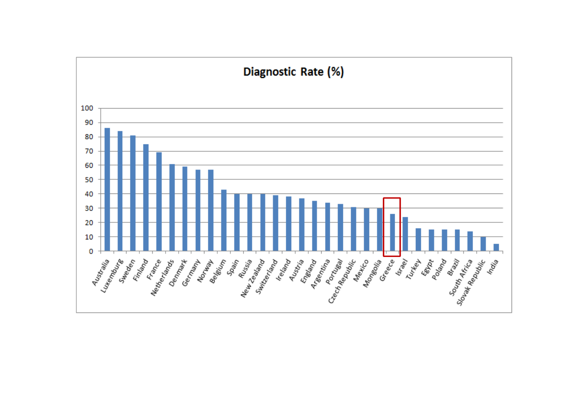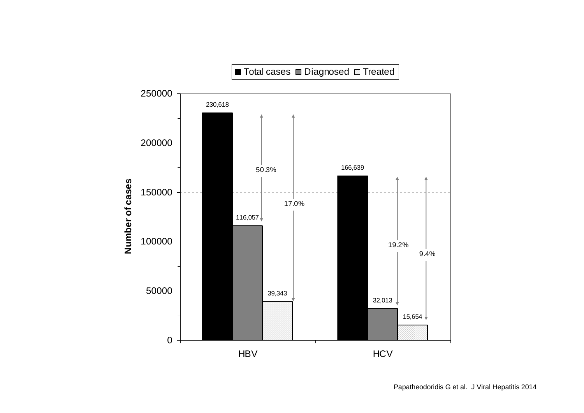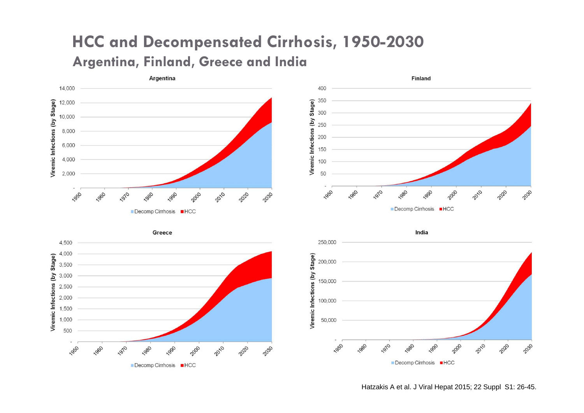## **HCC and Decompensated Cirrhosis, 1950-2030 Argentina, Finland, Greece and India**





India





Hatzakis A et al. J Viral Hepat 2015; 22 Suppl S1: 26-45.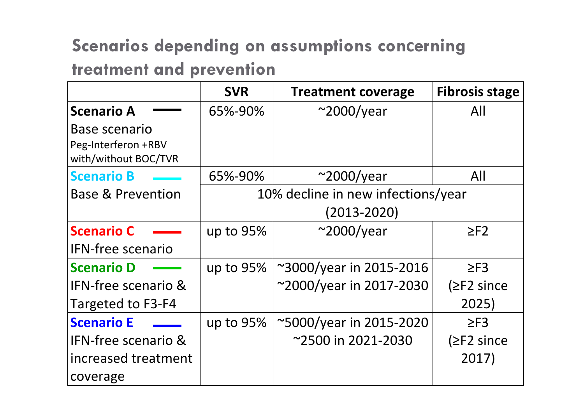## **Scenarios depending on assumptions con <sup>c</sup>erning**

## **treatment and prevention**

|                                                              | <b>SVR</b>                         | <b>Treatment coverage</b> | <b>Fibrosis stage</b> |  |  |  |
|--------------------------------------------------------------|------------------------------------|---------------------------|-----------------------|--|--|--|
| <b>Scenario A</b>                                            | 65%-90%                            | $\sim$ 2000/year          | All                   |  |  |  |
| Base scenario<br>Peg-Interferon +RBV<br>with/without BOC/TVR |                                    |                           |                       |  |  |  |
| <b>Scenario B</b>                                            | 65%-90%                            | $\sim$ 2000/year          | All                   |  |  |  |
| <b>Base &amp; Prevention</b>                                 | 10% decline in new infections/year |                           |                       |  |  |  |
|                                                              | (2013-2020)                        |                           |                       |  |  |  |
| <b>Scenario C</b>                                            | up to 95%                          | $\sim$ 2000/year          | $\geq$ F2             |  |  |  |
| <b>IFN-free scenario</b>                                     |                                    |                           |                       |  |  |  |
| <b>Scenario D</b>                                            | up to 95%                          | ~3000/year in 2015-2016   | $\geq$ F3             |  |  |  |
| <b>IFN-free scenario &amp;</b>                               |                                    | ~2000/year in 2017-2030   | $(\geq$ F2 since      |  |  |  |
| Targeted to F3-F4                                            |                                    |                           | 2025)                 |  |  |  |
| <b>Scenario E</b>                                            | up to $95%$                        | ~5000/year in 2015-2020   | $\geq$ F3             |  |  |  |
| <b>IFN-free scenario &amp;</b>                               |                                    | ~2500 in 2021-2030        | $(\geq$ F2 since      |  |  |  |
| increased treatment                                          |                                    |                           | 2017)                 |  |  |  |
| coverage                                                     |                                    |                           |                       |  |  |  |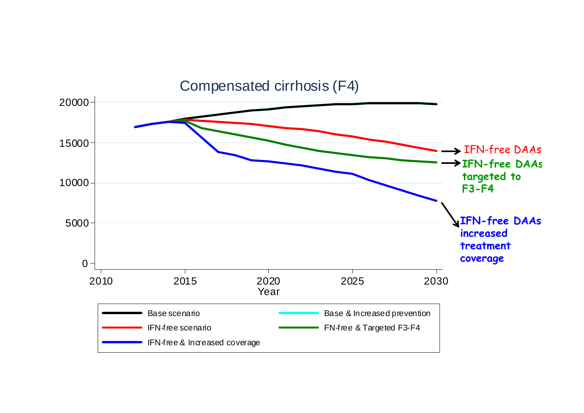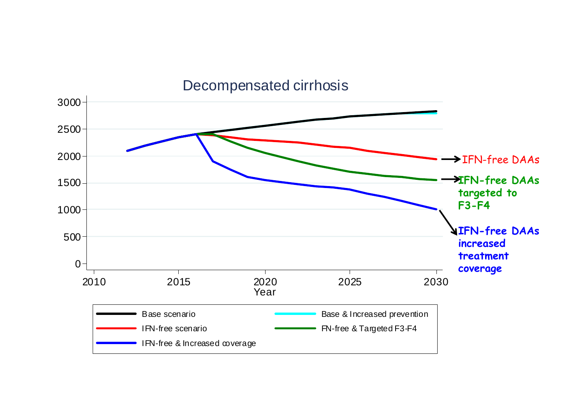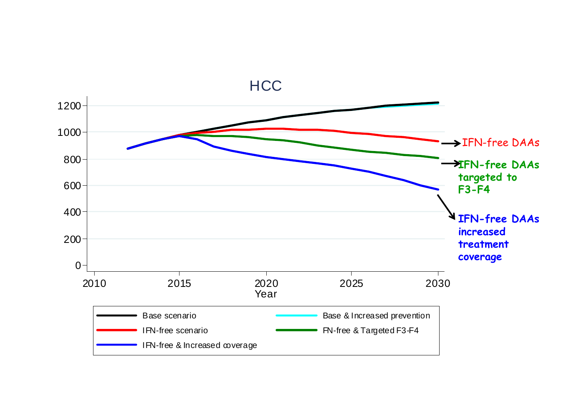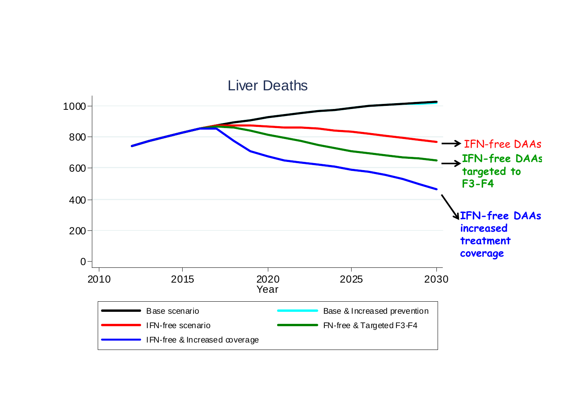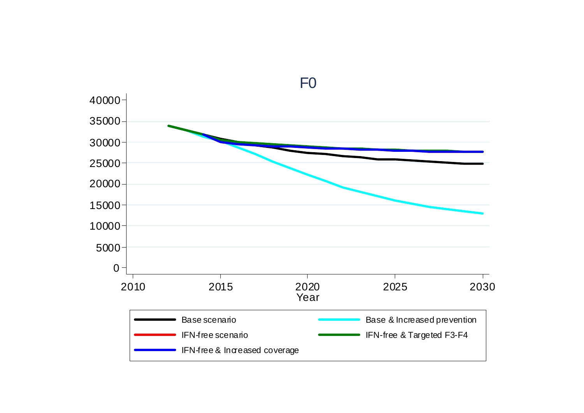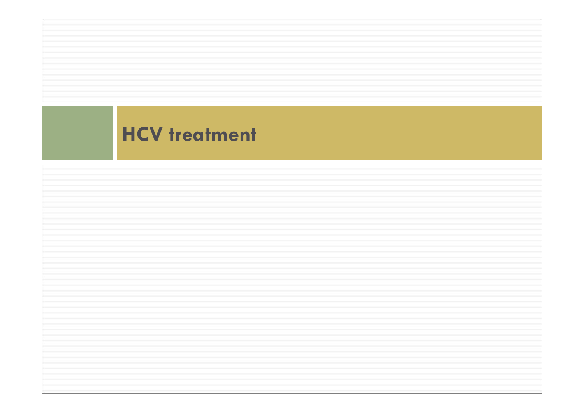## **HCV treatment**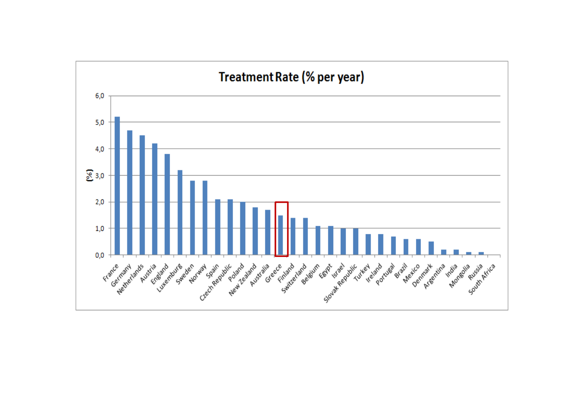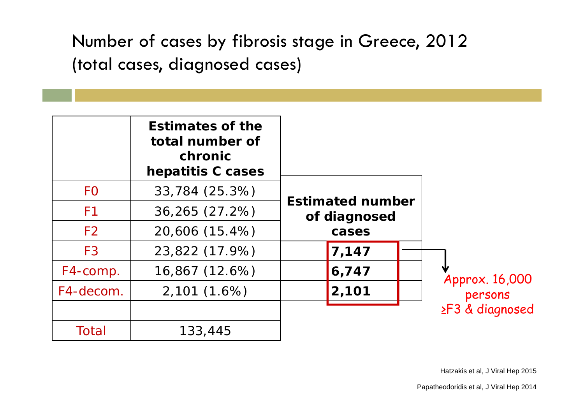Number of cases by fibrosis stage in Greece, 2012 (total cases, diagnosed cases)

|                | <b>Estimates of the</b><br>total number of<br>chronic<br>hepatitis C cases |                                                  |  |  |                 |
|----------------|----------------------------------------------------------------------------|--------------------------------------------------|--|--|-----------------|
| F <sub>O</sub> | 33,784 (25.3%)                                                             | <b>Estimated number</b><br>of diagnosed<br>cases |  |  |                 |
| F <sub>1</sub> | 36,265 (27.2%)                                                             |                                                  |  |  |                 |
| F <sub>2</sub> | 20,606 (15.4%)                                                             |                                                  |  |  |                 |
| F <sub>3</sub> | 23,822 (17.9%)                                                             | 7,147                                            |  |  |                 |
| F4-comp.       | 16,867 (12.6%)                                                             | 6,747                                            |  |  | Approx. 16,000  |
| F4-decom.      | 2,101(1.6%)                                                                | 2,101                                            |  |  | persons         |
|                |                                                                            |                                                  |  |  | ≥F3 & diagnosed |
| Total          | 133,445                                                                    |                                                  |  |  |                 |

Hatzakis et al, J Viral Hep 2015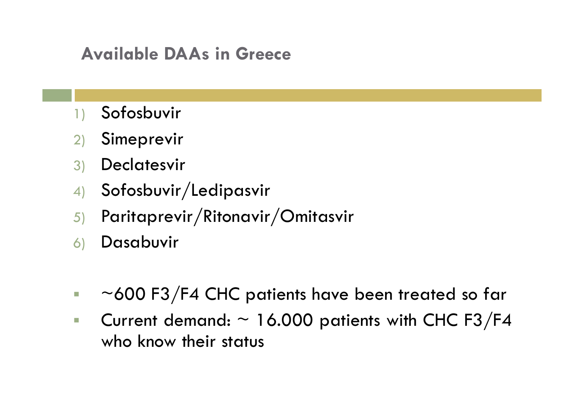## **Available DAAs in Greece**

- **Sofosbuvir**
- 2) Simeprevir
- 3) Declatesvir
- 4) Sofosbuvir/Ledipasvir
- 5) Paritaprevir/Ritonavir/Omitasvir
- 6) Dasabuvir
- $\mathcal{L}_{\mathcal{A}}$ ~600 F3/F4 CHC patients have been treated so far
- $\overline{\phantom{a}}$ Current demand:  $\sim$  16.000 patients with CHC F3/F4 who know their status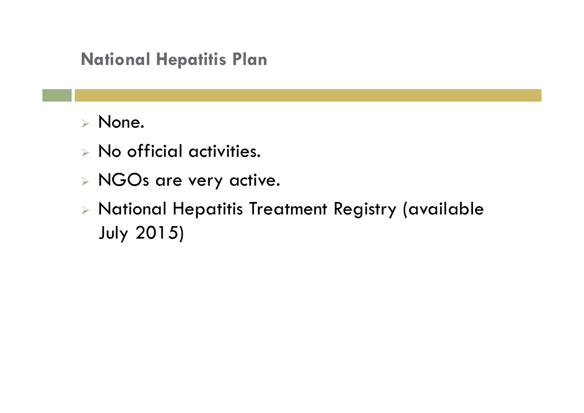## **National Hepatitis Plan**

- None.
- No official activities.
- NGOs are very active.
- $\triangleright$  National Hepatitis Treatment Registry (available July 2015)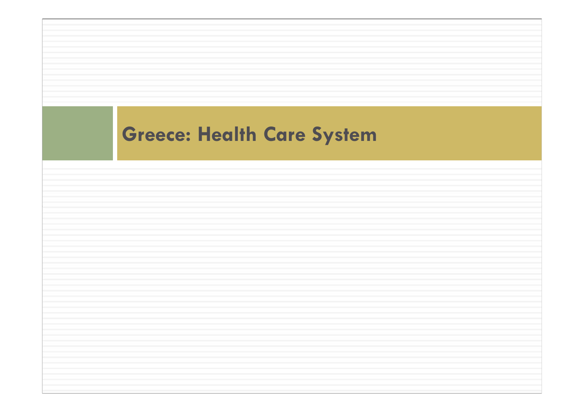# **Greece: Health Care System**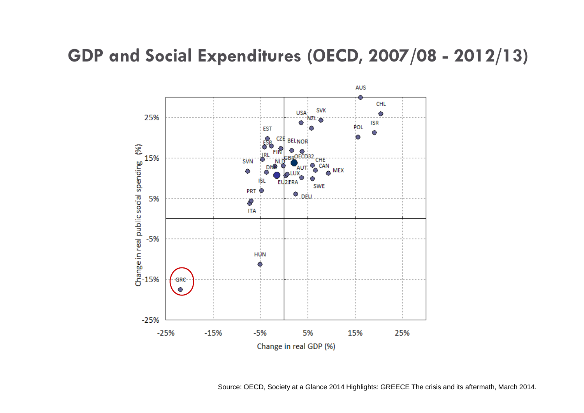#### **GDP and Social Expenditures (OECD, 2007/08 - 2012/13)**



Source: OECD, Society at a Glance 2014 Highlights: GREECE The crisis and its aftermath, March 2014.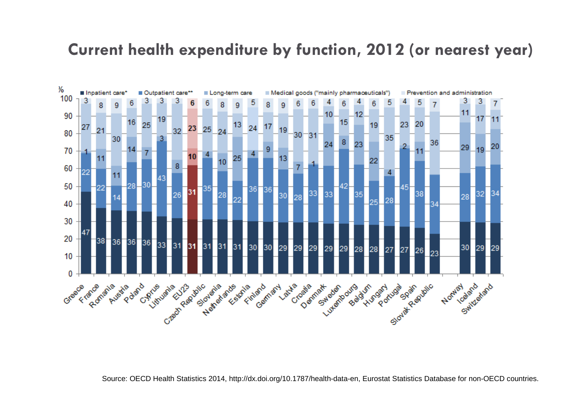#### **Current health expenditure by function, 2012 (or nearest year)**



Source: OECD Health Statistics 2014, http://dx.doi.org/10.1787/health-data-en, Eurostat Statistics Database for non-OECD countries.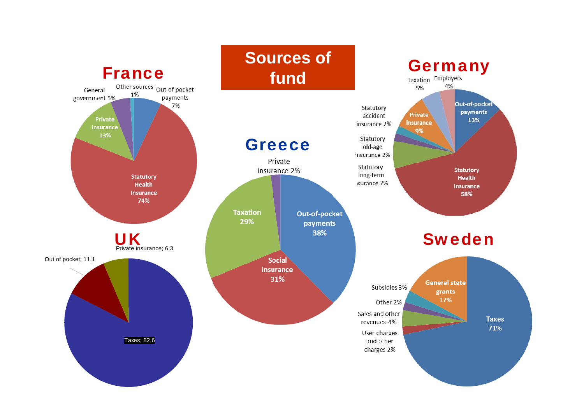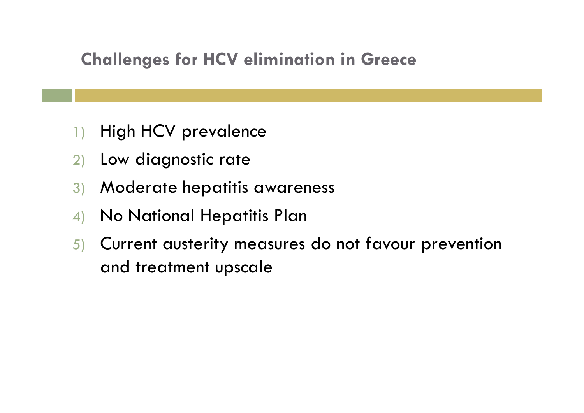## **Challenges for HCV elimination in Greece**

- 1) High HCV prevalence
- 2) Low diagnostic rate
- 3) Moderate hepatitis awareness
- 4) No National Hepatitis Plan
- 5) Current austerity measures do not favour prevention and treatment upscale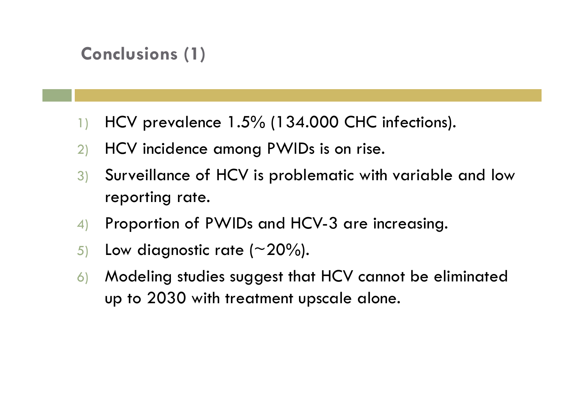## **Conclusions (1)**

- 1) HCV prevalence 1.5% (134.000 CHC infections).
- 2) HCV incidence among PWIDs is on rise.
- 3) Surveillance of HCV is problematic with variable and low reporting rate.
- 4) Proportion of PWIDs and HCV-3 are increasing.
- 5) Low diagnostic rate  $(\sim\!20\%)$ .
- 6) Modeling studies suggest that HCV cannot be eliminated up to 2030 with treatment upscale alone.